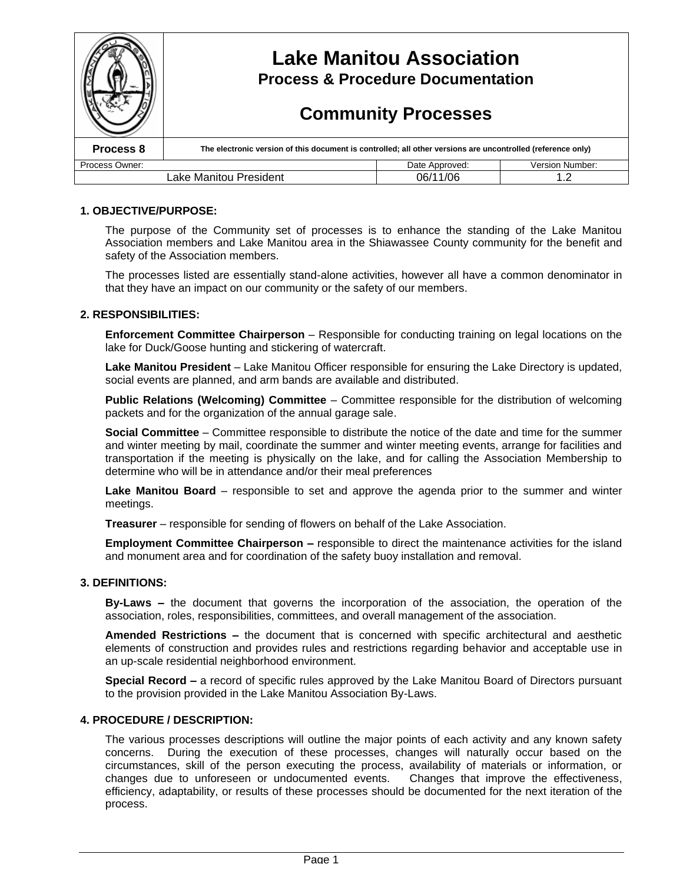|                                           | <b>Lake Manitou Association</b><br><b>Process &amp; Procedure Documentation</b><br><b>Community Processes</b> |                |                 |
|-------------------------------------------|---------------------------------------------------------------------------------------------------------------|----------------|-----------------|
| Process 8                                 | The electronic version of this document is controlled; all other versions are uncontrolled (reference only)   |                |                 |
| Process Owner:                            |                                                                                                               | Date Approved: | Version Number: |
| Lake Manitou President<br>06/11/06<br>1.2 |                                                                                                               |                |                 |

#### **1. OBJECTIVE/PURPOSE:**

The purpose of the Community set of processes is to enhance the standing of the Lake Manitou Association members and Lake Manitou area in the Shiawassee County community for the benefit and safety of the Association members.

The processes listed are essentially stand-alone activities, however all have a common denominator in that they have an impact on our community or the safety of our members.

#### **2. RESPONSIBILITIES:**

**Enforcement Committee Chairperson** – Responsible for conducting training on legal locations on the lake for Duck/Goose hunting and stickering of watercraft.

**Lake Manitou President** –Lake Manitou Officer responsible for ensuring the Lake Directory is updated, social events are planned, and arm bands are available and distributed.

**Public Relations (Welcoming) Committee** – Committee responsible for the distribution of welcoming packets and for the organization of the annual garage sale.

**Social Committee** –Committee responsible to distribute the notice of the date and time for the summer and winter meeting by mail, coordinate the summer and winter meeting events, arrange for facilities and transportation if the meeting is physically on the lake, and for calling the Association Membership to determine who will be in attendance and/or their meal preferences

**Lake Manitou Board** – responsible to set and approve the agenda prior to the summer and winter meetings.

**Treasurer** – responsible for sending of flowers on behalf of the Lake Association.

**Employment Committee Chairperson –**responsible to direct the maintenance activities for the island and monument area and for coordination of the safety buoy installation and removal.

#### **3. DEFINITIONS:**

**By-Laws –**the document that governs the incorporation of the association, the operation of the association, roles, responsibilities, committees, and overall management of the association.

**Amended Restrictions –**the document that is concerned with specific architectural and aesthetic elements of construction and provides rules and restrictions regarding behavior and acceptable use in an up-scale residential neighborhood environment.

**Special Record –**a record of specific rules approved by the Lake Manitou Board of Directors pursuant to the provision provided in the Lake Manitou Association By-Laws.

#### **4. PROCEDURE / DESCRIPTION:**

The various processes descriptions will outline the major points of each activity and any known safety concerns. During the execution of these processes, changes will naturally occur based on the circumstances, skill of the person executing the process, availability of materials or information, or changes due to unforeseen or undocumented events. Changes that improve the effectiveness, efficiency, adaptability, or results of these processes should be documented for the next iteration of the process.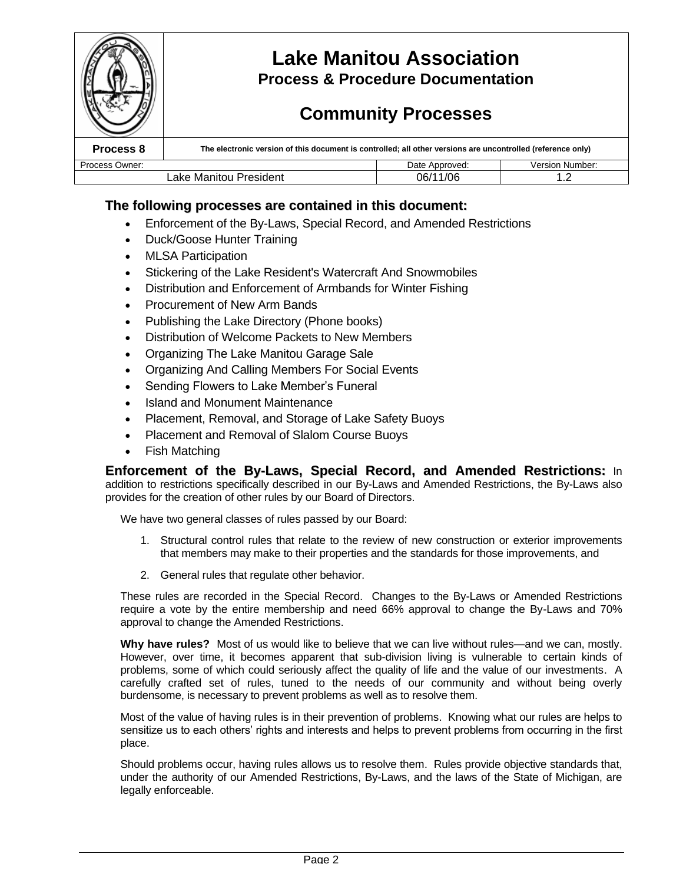

# **The following processes are contained in this document:**

- Enforcement of the By-Laws, Special Record, and Amended Restrictions
- Duck/Goose Hunter Training
- MLSA Participation
- Stickering of the Lake Resident's Watercraft And Snowmobiles
- Distribution and Enforcement of Armbands for Winter Fishing
- Procurement of New Arm Bands
- Publishing the Lake Directory (Phone books)
- Distribution of Welcome Packets to New Members
- Organizing The Lake Manitou Garage Sale
- Organizing And Calling Members For Social Events
- Sending Flowers to Lake Member's Funeral
- Island and Monument Maintenance
- Placement, Removal, and Storage of Lake Safety Buoys
- Placement and Removal of Slalom Course Buoys
- Fish Matching

**Enforcement of the By-Laws, Special Record, and Amended Restrictions:** In addition to restrictions specifically described in our By-Laws and Amended Restrictions, the By-Laws also provides for the creation of other rules by our Board of Directors.

We have two general classes of rules passed by our Board:

- 1. Structural control rules that relate to the review of new construction or exterior improvements that members may make to their properties and the standards for those improvements, and
- 2. General rules that regulate other behavior.

These rules are recorded in the Special Record. Changes to the By-Laws or Amended Restrictions require a vote by the entire membership and need 66% approval to change the By-Laws and 70% approval to change the Amended Restrictions.

**Why have rules?** Most of us would like to believe that we can live without rules—and we can, mostly. However, over time, it becomes apparent that sub-division living is vulnerable to certain kinds of problems, some of which could seriously affect the quality of life and the value of our investments. A carefully crafted set of rules, tuned to the needs of our community and without being overly burdensome, is necessary to prevent problems as well as to resolve them.

Most of the value of having rules is in their prevention of problems. Knowing what our rules are helps to sensitize us to each others' rights and interests and helps to prevent problems from occurring in the first place.

Should problems occur, having rules allows us to resolve them. Rules provide objective standards that, under the authority of our Amended Restrictions, By-Laws, and the laws of the State of Michigan, are legally enforceable.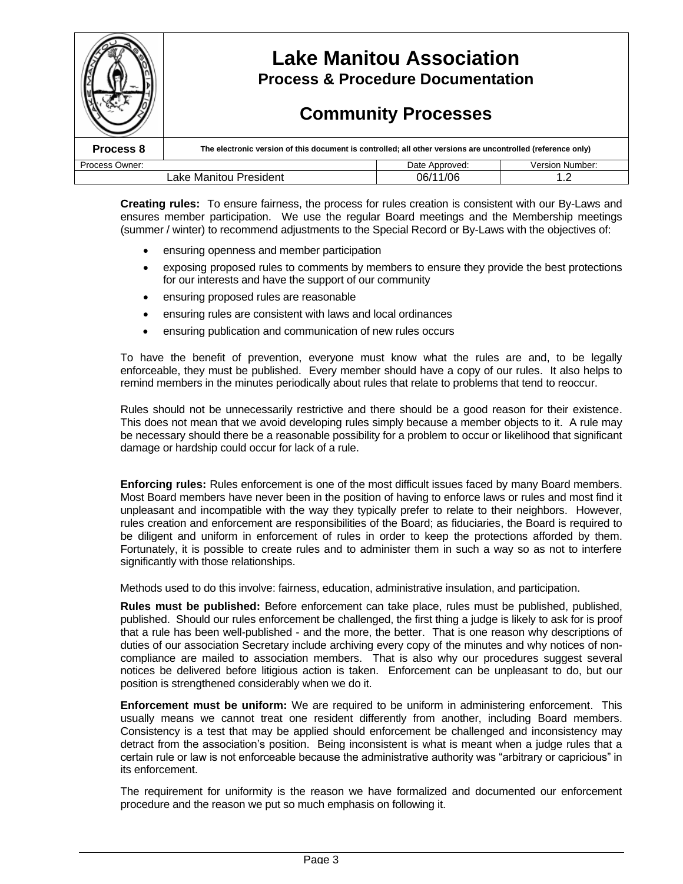

**Creating rules:** To ensure fairness, the process for rules creation is consistent with our By-Laws and ensures member participation. We use the regular Board meetings and the Membership meetings (summer / winter) to recommend adjustments to the Special Record or By-Laws with the objectives of:

- ensuring openness and member participation
- exposing proposed rules to comments by members to ensure they provide the best protections for our interests and have the support of our community
- ensuring proposed rules are reasonable
- ensuring rules are consistent with laws and local ordinances
- ensuring publication and communication of new rules occurs

To have the benefit of prevention, everyone must know what the rules are and, to be legally enforceable, they must be published. Every member should have a copy of our rules. It also helps to remind members in the minutes periodically about rules that relate to problems that tend to reoccur.

Rules should not be unnecessarily restrictive and there should be a good reason for their existence. This does not mean that we avoid developing rules simply because a member objects to it. A rule may be necessary should there be a reasonable possibility for a problem to occur or likelihood that significant damage or hardship could occur for lack of a rule.

**Enforcing rules:** Rules enforcement is one of the most difficult issues faced by many Board members. Most Board members have never been in the position of having to enforce laws or rules and most find it unpleasant and incompatible with the way they typically prefer to relate to their neighbors. However, rules creation and enforcement are responsibilities of the Board; as fiduciaries, the Board is required to be diligent and uniform in enforcement of rules in order to keep the protections afforded by them. Fortunately, it is possible to create rules and to administer them in such a way so as not to interfere significantly with those relationships.

Methods used to do this involve: fairness, education, administrative insulation, and participation.

**Rules must be published:** Before enforcement can take place, rules must be published, published, published. Should our rules enforcement be challenged, the first thing a judge is likely to ask for is proof that a rule has been well-published - and the more, the better. That is one reason why descriptions of duties of our association Secretary include archiving every copy of the minutes and why notices of noncompliance are mailed to association members. That is also why our procedures suggest several notices be delivered before litigious action is taken. Enforcement can be unpleasant to do, but our position is strengthened considerably when we do it.

**Enforcement must be uniform:** We are required to be uniform in administering enforcement. This usually means we cannot treat one resident differently from another, including Board members. Consistency is a test that may be applied should enforcement be challenged and inconsistency may detract from the association's position. Being inconsistent is what is meant when a judge rules that a certain rule or law is not enforceable because the administrative authority was "arbitrary or capricious" in its enforcement.

The requirement for uniformity is the reason we have formalized and documented our enforcement procedure and the reason we put so much emphasis on following it.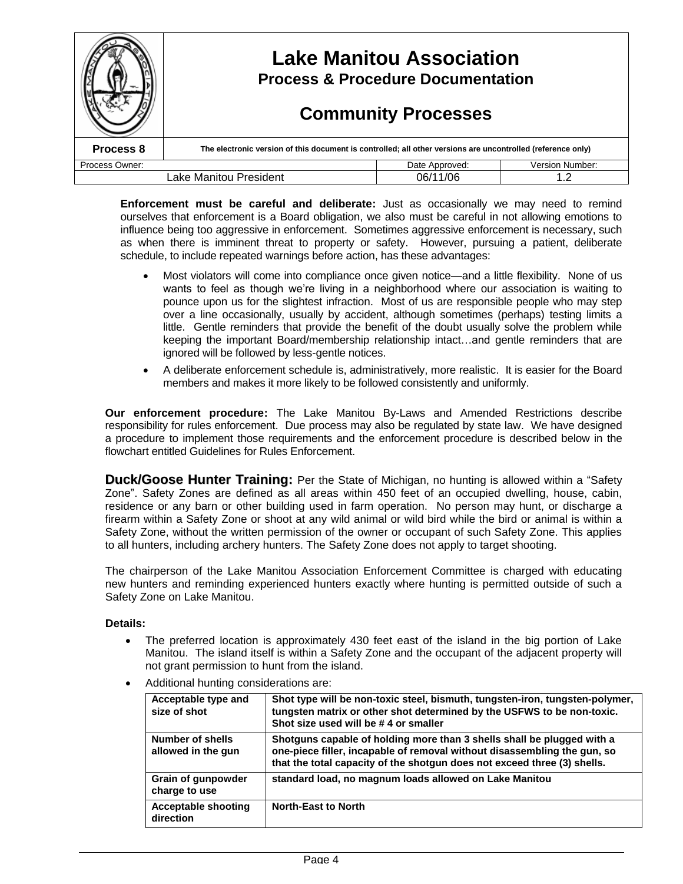| <b>Lake Manitou Association</b><br><b>Process &amp; Procedure Documentation</b><br><b>Community Processes</b> |                                                                                                             |                |                        |
|---------------------------------------------------------------------------------------------------------------|-------------------------------------------------------------------------------------------------------------|----------------|------------------------|
|                                                                                                               |                                                                                                             |                |                        |
| Process 8                                                                                                     | The electronic version of this document is controlled; all other versions are uncontrolled (reference only) |                |                        |
| Process Owner:                                                                                                |                                                                                                             | Date Approved: | <b>Version Number:</b> |
| 06/11/06<br>Lake Manitou President                                                                            |                                                                                                             | 12             |                        |

**Enforcement must be careful and deliberate:** Just as occasionally we may need to remind ourselves that enforcement is a Board obligation, we also must be careful in not allowing emotions to influence being too aggressive in enforcement. Sometimes aggressive enforcement is necessary, such as when there is imminent threat to property or safety. However, pursuing a patient, deliberate schedule, to include repeated warnings before action, has these advantages:

- Most violators will come into compliance once given notice—and a little flexibility. None of us wants to feel as though we're living in a neighborhood where our association is waiting to pounce upon us for the slightest infraction. Most of us are responsible people who may step over a line occasionally, usually by accident, although sometimes (perhaps) testing limits a little. Gentle reminders that provide the benefit of the doubt usually solve the problem while keeping the important Board/membership relationship intact...and gentle reminders that are ignored will be followed by less-gentle notices.
- A deliberate enforcement schedule is, administratively, more realistic. It is easier for the Board members and makes it more likely to be followed consistently and uniformly.

**Our enforcement procedure:** The Lake Manitou By-Laws and Amended Restrictions describe responsibility for rules enforcement. Due process may also be regulated by state law. We have designed a procedure to implement those requirements and the enforcement procedure is described below in the flowchart entitled Guidelines for Rules Enforcement.

**Duck/Goose Hunter Training:** Per the State of Michigan, no hunting is allowed within a "Safety Zone". Safety Zones are defined as all areas within 450 feet of an occupied dwelling, house, cabin, residence or any barn or other building used in farm operation. No person may hunt, or discharge a firearm within a Safety Zone or shoot at any wild animal or wild bird while the bird or animal is within a Safety Zone, without the written permission of the owner or occupant of such Safety Zone. This applies to all hunters, including archery hunters. The Safety Zone does not apply to target shooting.

The chairperson of the Lake Manitou Association Enforcement Committee is charged with educating new hunters and reminding experienced hunters exactly where hunting is permitted outside of such a Safety Zone on Lake Manitou.

#### **Details:**

- The preferred location is approximately 430 feet east of the island in the big portion of Lake Manitou. The island itself is within a Safety Zone and the occupant of the adjacent property will not grant permission to hunt from the island.
- Additional hunting considerations are:

| Acceptable type and<br>size of shot     | Shot type will be non-toxic steel, bismuth, tungsten-iron, tungsten-polymer,<br>tungsten matrix or other shot determined by the USFWS to be non-toxic.<br>Shot size used will be #4 or smaller                                 |
|-----------------------------------------|--------------------------------------------------------------------------------------------------------------------------------------------------------------------------------------------------------------------------------|
| Number of shells<br>allowed in the gun  | Shotguns capable of holding more than 3 shells shall be plugged with a<br>one-piece filler, incapable of removal without disassembling the gun, so<br>that the total capacity of the shotgun does not exceed three (3) shells. |
| Grain of gunpowder<br>charge to use     | standard load, no magnum loads allowed on Lake Manitou                                                                                                                                                                         |
| <b>Acceptable shooting</b><br>direction | <b>North-East to North</b>                                                                                                                                                                                                     |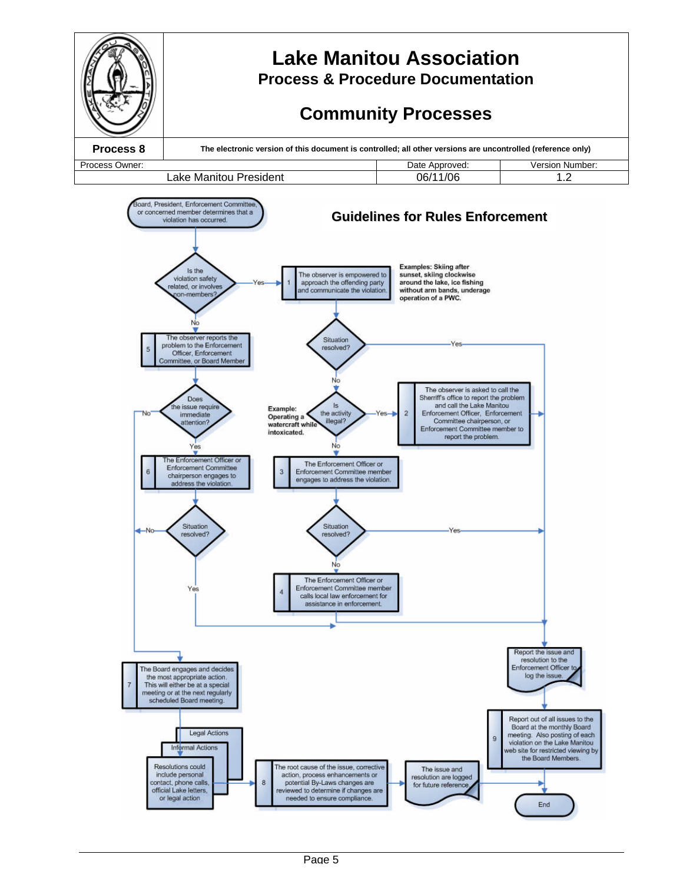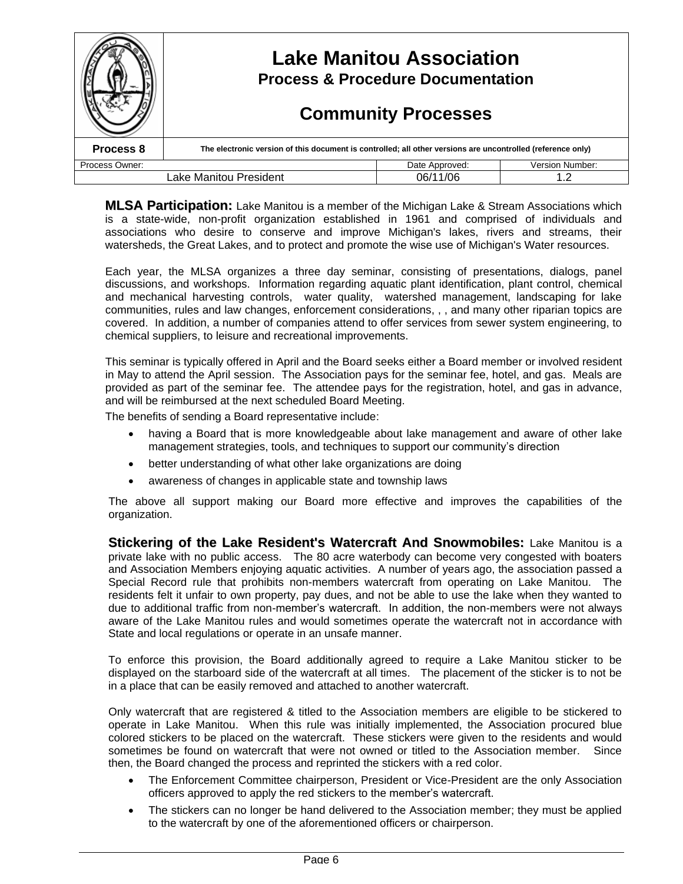|                                    | <b>Lake Manitou Association</b><br><b>Process &amp; Procedure Documentation</b><br><b>Community Processes</b> |                |                 |
|------------------------------------|---------------------------------------------------------------------------------------------------------------|----------------|-----------------|
| Process 8                          | The electronic version of this document is controlled; all other versions are uncontrolled (reference only)   |                |                 |
| Process Owner:                     |                                                                                                               | Date Approved: | Version Number: |
| Lake Manitou President<br>06/11/06 |                                                                                                               |                |                 |

**MLSA Participation:** Lake Manitou is a member of the Michigan Lake & Stream Associations which is a state-wide, non-profit organization established in 1961 and comprised of individuals and associations who desire to conserve and improve Michigan's lakes, rivers and streams, their watersheds, the Great Lakes, and to protect and promote the wise use of Michigan's Water resources.

Each year, the MLSA organizes a three day seminar, consisting of presentations, dialogs, panel discussions, and workshops. Information regarding aquatic plant identification, plant control, chemical and mechanical harvesting controls, water quality, watershed management, landscaping for lake communities, rules and law changes, enforcement considerations, , , and many other riparian topics are covered. In addition, a number of companies attend to offer services from sewer system engineering, to chemical suppliers, to leisure and recreational improvements.

This seminar is typically offered in April and the Board seeks either a Board member or involved resident in May to attend the April session. The Association pays for the seminar fee, hotel, and gas. Meals are provided as part of the seminar fee. The attendee pays for the registration, hotel, and gas in advance, and will be reimbursed at the next scheduled Board Meeting.

The benefits of sending a Board representative include:

- having a Board that is more knowledgeable about lake management and aware of other lake management strategies, tools, and techniques to support our community's direction
- better understanding of what other lake organizations are doing
- awareness of changes in applicable state and township laws

The above all support making our Board more effective and improves the capabilities of the organization.

**Stickering of the Lake Resident's Watercraft And Snowmobiles:** Lake Manitou is a private lake with no public access. The 80 acre waterbody can become very congested with boaters and Association Members enjoying aquatic activities. A number of years ago, the association passed a Special Record rule that prohibits non-members watercraft from operating on Lake Manitou. The residents felt it unfair to own property, pay dues, and not be able to use the lake when they wanted to due to additional traffic from non-member's watercraft. In addition, the non-members were not always aware of the Lake Manitou rules and would sometimes operate the watercraft not in accordance with State and local regulations or operate in an unsafe manner.

To enforce this provision, the Board additionally agreed to require a Lake Manitou sticker to be displayed on the starboard side of the watercraft at all times. The placement of the sticker is to not be in a place that can be easily removed and attached to another watercraft.

Only watercraft that are registered & titled to the Association members are eligible to be stickered to operate in Lake Manitou. When this rule was initially implemented, the Association procured blue colored stickers to be placed on the watercraft. These stickers were given to the residents and would sometimes be found on watercraft that were not owned or titled to the Association member. Since then, the Board changed the process and reprinted the stickers with a red color.

- The Enforcement Committee chairperson, President or Vice-President are the only Association officers approved to apply the red stickers to the member's watercraft.
- The stickers can no longer be hand delivered to the Association member; they must be applied to the watercraft by one of the aforementioned officers or chairperson.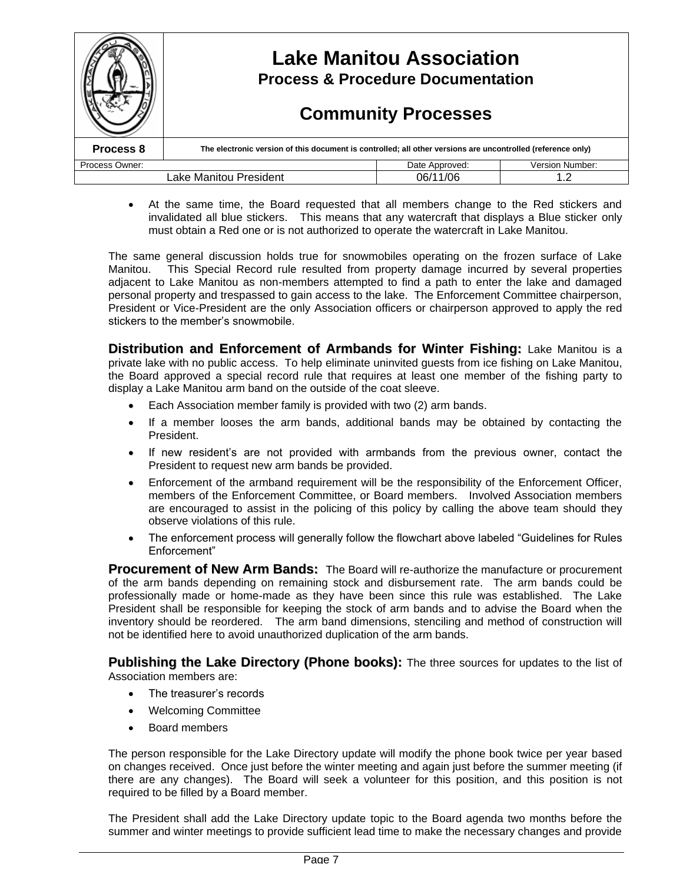

 At the same time, the Board requested that all members change to the Red stickers and invalidated all blue stickers. This means that any watercraft that displays a Blue sticker only must obtain a Red one or is not authorized to operate the watercraft in Lake Manitou.

The same general discussion holds true for snowmobiles operating on the frozen surface of Lake Manitou. This Special Record rule resulted from property damage incurred by several properties adjacent to Lake Manitou as non-members attempted to find a path to enter the lake and damaged personal property and trespassed to gain access to the lake. The Enforcement Committee chairperson, President or Vice-President are the only Association officers or chairperson approved to apply the red stickers to the member's snowmobile.

**Distribution and Enforcement of Armbands for Winter Fishing:** Lake Manitou is a private lake with no public access. To help eliminate uninvited guests from ice fishing on Lake Manitou, the Board approved a special record rule that requires at least one member of the fishing party to display a Lake Manitou arm band on the outside of the coat sleeve.

- Each Association member family is provided with two (2) arm bands.
- If a member looses the arm bands, additional bands may be obtained by contacting the President.
- If new resident's are not provided with armbands from the previous owner, contact the President to request new arm bands be provided.
- Enforcement of the armband requirement will be the responsibility of the Enforcement Officer, members of the Enforcement Committee, or Board members. Involved Association members are encouraged to assist in the policing of this policy by calling the above team should they observe violations of this rule.
- The enforcement process will generally follow the flowchart above labeled "Guidelines for Rules" Enforcement"

**Procurement of New Arm Bands:** The Board will re-authorize the manufacture or procurement of the arm bands depending on remaining stock and disbursement rate. The arm bands could be professionally made or home-made as they have been since this rule was established. The Lake President shall be responsible for keeping the stock of arm bands and to advise the Board when the inventory should be reordered. The arm band dimensions, stenciling and method of construction will not be identified here to avoid unauthorized duplication of the arm bands.

**Publishing the Lake Directory (Phone books):** The three sources for updates to the list of Association members are:

- The treasurer's records
- Welcoming Committee
- Board members

The person responsible for the Lake Directory update will modify the phone book twice per year based on changes received. Once just before the winter meeting and again just before the summer meeting (if there are any changes). The Board will seek a volunteer for this position, and this position is not required to be filled by a Board member.

The President shall add the Lake Directory update topic to the Board agenda two months before the summer and winter meetings to provide sufficient lead time to make the necessary changes and provide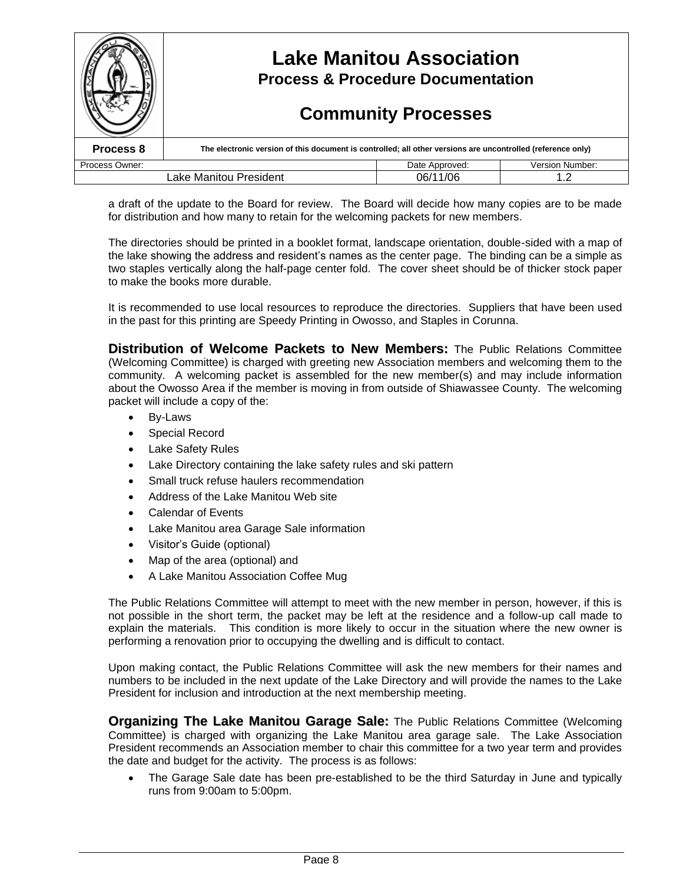|                                    | <b>Lake Manitou Association</b><br><b>Process &amp; Procedure Documentation</b><br><b>Community Processes</b> |                |                        |
|------------------------------------|---------------------------------------------------------------------------------------------------------------|----------------|------------------------|
| Process 8                          | The electronic version of this document is controlled; all other versions are uncontrolled (reference only)   |                |                        |
| Process Owner:                     |                                                                                                               | Date Approved: | <b>Version Number:</b> |
| 06/11/06<br>Lake Manitou President |                                                                                                               |                |                        |

a draft of the update to the Board for review. The Board will decide how many copies are to be made for distribution and how many to retain for the welcoming packets for new members.

The directories should be printed in a booklet format, landscape orientation, double-sided with a map of the lake showing the address and resident's names as the center page. The binding can be a simple as two staples vertically along the half-page center fold. The cover sheet should be of thicker stock paper to make the books more durable.

It is recommended to use local resources to reproduce the directories. Suppliers that have been used in the past for this printing are Speedy Printing in Owosso, and Staples in Corunna.

**Distribution of Welcome Packets to New Members:** The Public Relations Committee (Welcoming Committee) is charged with greeting new Association members and welcoming them to the community. A welcoming packet is assembled for the new member(s) and may include information about the Owosso Area if the member is moving in from outside of Shiawassee County. The welcoming packet will include a copy of the:

- By-Laws
- Special Record
- Lake Safety Rules
- Lake Directory containing the lake safety rules and ski pattern
- Small truck refuse haulers recommendation
- Address of the Lake Manitou Web site
- Calendar of Events
- Lake Manitou area Garage Sale information
- Visitor's Guide (optional)
- Map of the area (optional) and
- A Lake Manitou Association Coffee Mug

The Public Relations Committee will attempt to meet with the new member in person, however, if this is not possible in the short term, the packet may be left at the residence and a follow-up call made to explain the materials. This condition is more likely to occur in the situation where the new owner is performing a renovation prior to occupying the dwelling and is difficult to contact.

Upon making contact, the Public Relations Committee will ask the new members for their names and numbers to be included in the next update of the Lake Directory and will provide the names to the Lake President for inclusion and introduction at the next membership meeting.

**Organizing The Lake Manitou Garage Sale:** The Public Relations Committee (Welcoming Committee) is charged with organizing the Lake Manitou area garage sale. The Lake Association President recommends an Association member to chair this committee for a two year term and provides the date and budget for the activity. The process is as follows:

 The Garage Sale date has been pre-established to be the third Saturday in June and typically runs from 9:00am to 5:00pm.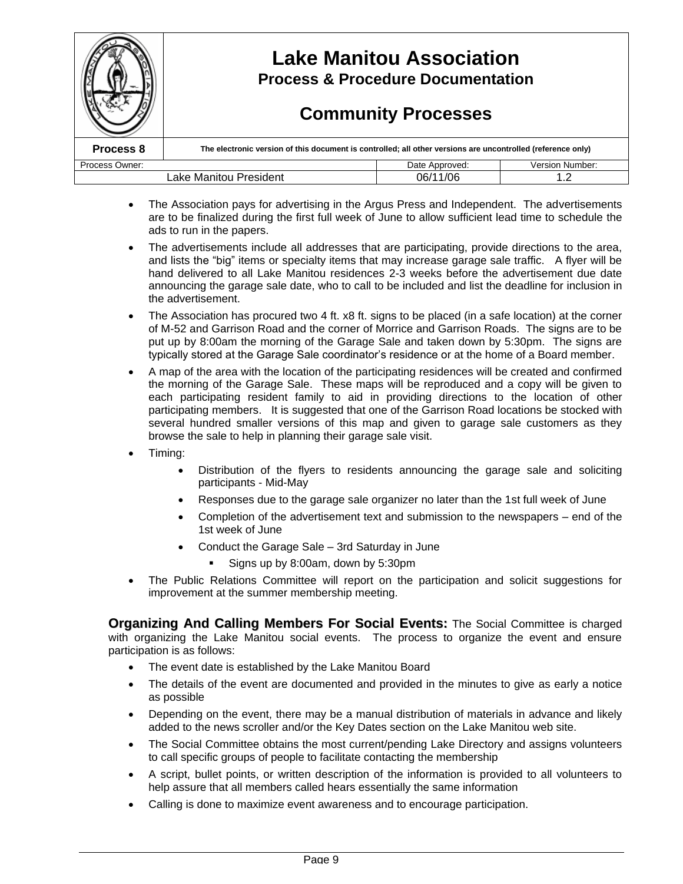

- The Association pays for advertising in the Argus Press and Independent. The advertisements are to be finalized during the first full week of June to allow sufficient lead time to schedule the ads to run in the papers.
- The advertisements include all addresses that are participating, provide directions to the area, and lists the "big" items or specialty items that may increase garage sale traffic. A flyer will be hand delivered to all Lake Manitou residences 2-3 weeks before the advertisement due date announcing the garage sale date, who to call to be included and list the deadline for inclusion in the advertisement.
- The Association has procured two 4 ft. x8 ft. signs to be placed (in a safe location) at the corner of M-52 and Garrison Road and the corner of Morrice and Garrison Roads. The signs are to be put up by 8:00am the morning of the Garage Sale and taken down by 5:30pm. The signs are typically stored at the Garage Sale coordinator's residence or at the home of a Board member.
- A map of the area with the location of the participating residences will be created and confirmed the morning of the Garage Sale. These maps will be reproduced and a copy will be given to each participating resident family to aid in providing directions to the location of other participating members. It is suggested that one of the Garrison Road locations be stocked with several hundred smaller versions of this map and given to garage sale customers as they browse the sale to help in planning their garage sale visit.
- Timing:
	- Distribution of the flyers to residents announcing the garage sale and soliciting participants - Mid-May
	- Responses due to the garage sale organizer no later than the 1st full week of June
	- Completion of the advertisement text and submission to the newspapers end of the 1st week of June
	- Conduct the Garage Sale 3rd Saturday in June
		- Signs up by 8:00am, down by 5:30pm
- The Public Relations Committee will report on the participation and solicit suggestions for improvement at the summer membership meeting.

**Organizing And Calling Members For Social Events:** The Social Committee is charged with organizing the Lake Manitou social events. The process to organize the event and ensure participation is as follows:

- The event date is established by the Lake Manitou Board
- The details of the event are documented and provided in the minutes to give as early a notice as possible
- Depending on the event, there may be a manual distribution of materials in advance and likely added to the news scroller and/or the Key Dates section on the Lake Manitou web site.
- The Social Committee obtains the most current/pending Lake Directory and assigns volunteers to call specific groups of people to facilitate contacting the membership
- A script, bullet points, or written description of the information is provided to all volunteers to help assure that all members called hears essentially the same information
- Calling is done to maximize event awareness and to encourage participation.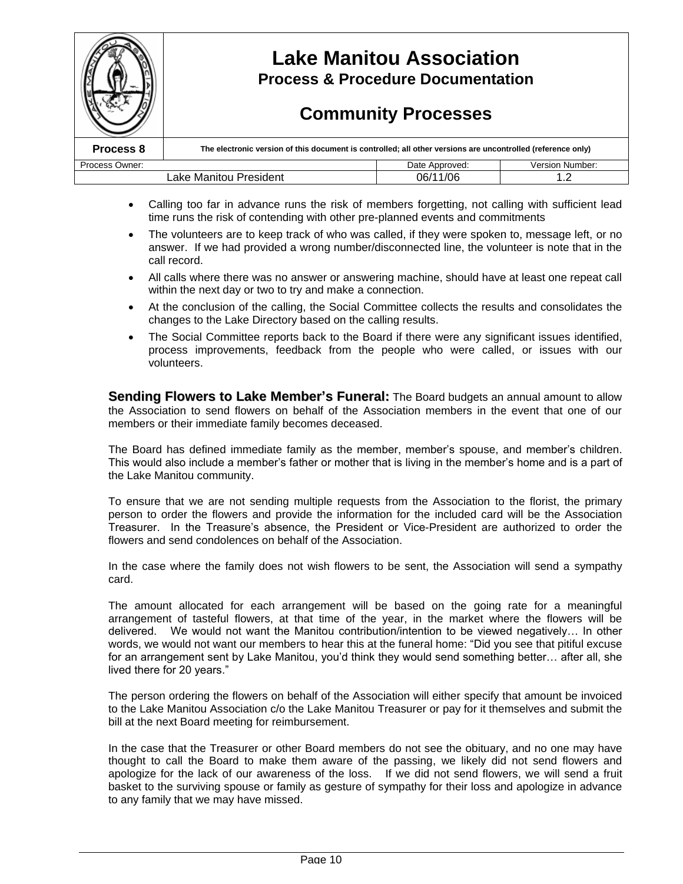

- Calling too far in advance runs the risk of members forgetting, not calling with sufficient lead time runs the risk of contending with other pre-planned events and commitments
- The volunteers are to keep track of who was called, if they were spoken to, message left, or no answer. If we had provided a wrong number/disconnected line, the volunteer is note that in the call record.
- All calls where there was no answer or answering machine, should have at least one repeat call within the next day or two to try and make a connection.
- At the conclusion of the calling, the Social Committee collects the results and consolidates the changes to the Lake Directory based on the calling results.
- The Social Committee reports back to the Board if there were any significant issues identified, process improvements, feedback from the people who were called, or issues with our volunteers.

**Sending Flowers to Lake Member's Funeral:** The Board budgets an annual amount to allow the Association to send flowers on behalf of the Association members in the event that one of our members or their immediate family becomes deceased.

The Board has defined immediate family as the member, member's spouse, and member's children. This would also include a member's father or mother that is living in the member's home and is a part of the Lake Manitou community.

To ensure that we are not sending multiple requests from the Association to the florist, the primary person to order the flowers and provide the information for the included card will be the Association Treasurer. In the Treasure's absence, the President or Vice-President are authorized to order the flowers and send condolences on behalf of the Association.

In the case where the family does not wish flowers to be sent, the Association will send a sympathy card.

The amount allocated for each arrangement will be based on the going rate for a meaningful arrangement of tasteful flowers, at that time of the year, in the market where the flowers will be delivered. We would not want the Manitou contribution/intention to be viewed negatively... In other words, we would not want our members to hear this at the funeral home: "Did you see that pitiful excuse for an arrangement sent by Lake Manitou, you'd think they would send something better... after all, she lived there for 20 years."

The person ordering the flowers on behalf of the Association will either specify that amount be invoiced to the Lake Manitou Association c/o the Lake Manitou Treasurer or pay for it themselves and submit the bill at the next Board meeting for reimbursement.

In the case that the Treasurer or other Board members do not see the obituary, and no one may have thought to call the Board to make them aware of the passing, we likely did not send flowers and apologize for the lack of our awareness of the loss. If we did not send flowers, we will send a fruit basket to the surviving spouse or family as gesture of sympathy for their loss and apologize in advance to any family that we may have missed.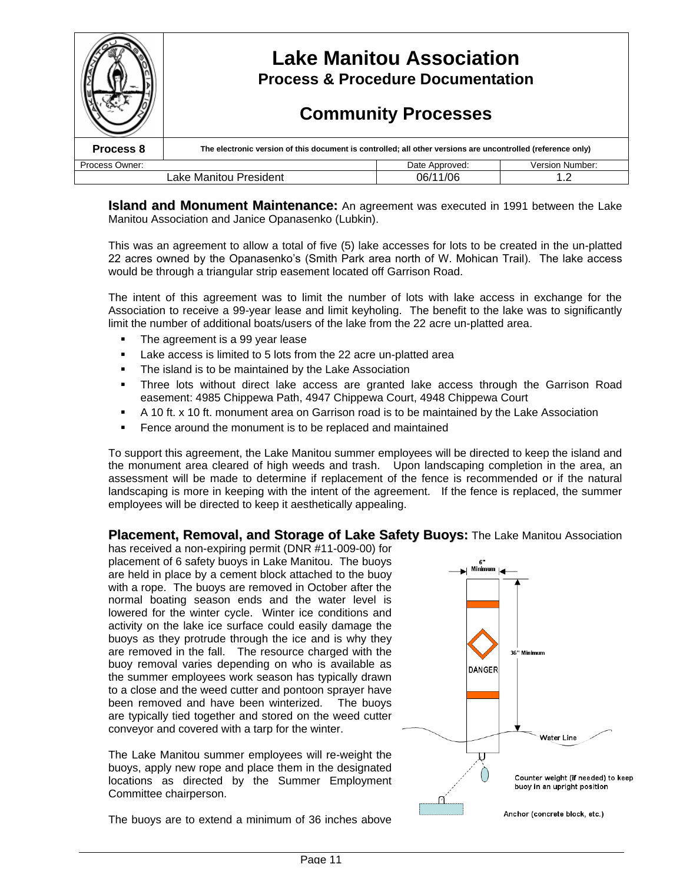|                                    | <b>Lake Manitou Association</b><br><b>Process &amp; Procedure Documentation</b><br><b>Community Processes</b> |                |                        |
|------------------------------------|---------------------------------------------------------------------------------------------------------------|----------------|------------------------|
| Process 8                          | The electronic version of this document is controlled; all other versions are uncontrolled (reference only)   |                |                        |
| Process Owner:                     |                                                                                                               | Date Approved: | <b>Version Number:</b> |
| 06/11/06<br>Lake Manitou President |                                                                                                               |                |                        |

**Island and Monument Maintenance:** An agreement was executed in 1991 between the Lake Manitou Association and Janice Opanasenko (Lubkin).

This was an agreement to allow a total of five (5) lake accesses for lots to be created in the un-platted 22 acres owned by the Opanasenko's (Smith Park area north of W. Mohican Trail). The lake access would be through a triangular strip easement located off Garrison Road.

The intent of this agreement was to limit the number of lots with lake access in exchange for the Association to receive a 99-year lease and limit keyholing. The benefit to the lake was to significantly limit the number of additional boats/users of the lake from the 22 acre un-platted area.

- The agreement is a 99 year lease
- Lake access is limited to 5 lots from the 22 acre un-platted area
- The island is to be maintained by the Lake Association
- Three lots without direct lake access are granted lake access through the Garrison Road easement: 4985 Chippewa Path, 4947 Chippewa Court, 4948 Chippewa Court
- A 10 ft. x 10 ft. monument area on Garrison road is to be maintained by the Lake Association
- **Fence around the monument is to be replaced and maintained**

To support this agreement, the Lake Manitou summer employees will be directed to keep the island and the monument area cleared of high weeds and trash. Upon landscaping completion in the area, an assessment will be made to determine if replacement of the fence is recommended or if the natural landscaping is more in keeping with the intent of the agreement. If the fence is replaced, the summer employees will be directed to keep it aesthetically appealing.

## **Placement, Removal, and Storage of Lake Safety Buoys:** The Lake Manitou Association

has received a non-expiring permit (DNR #11-009-00) for placement of 6 safety buoys in Lake Manitou. The buoys are held in place by a cement block attached to the buoy with a rope. The buoys are removed in October after the normal boating season ends and the water level is lowered for the winter cycle. Winter ice conditions and activity on the lake ice surface could easily damage the buoys as they protrude through the ice and is why they are removed in the fall. The resource charged with the buoy removal varies depending on who is available as the summer employees work season has typically drawn to a close and the weed cutter and pontoon sprayer have been removed and have been winterized. The buoys are typically tied together and stored on the weed cutter conveyor and covered with a tarp for the winter.

The Lake Manitou summer employees will re-weight the buoys, apply new rope and place them in the designated locations as directed by the Summer Employment Committee chairperson.



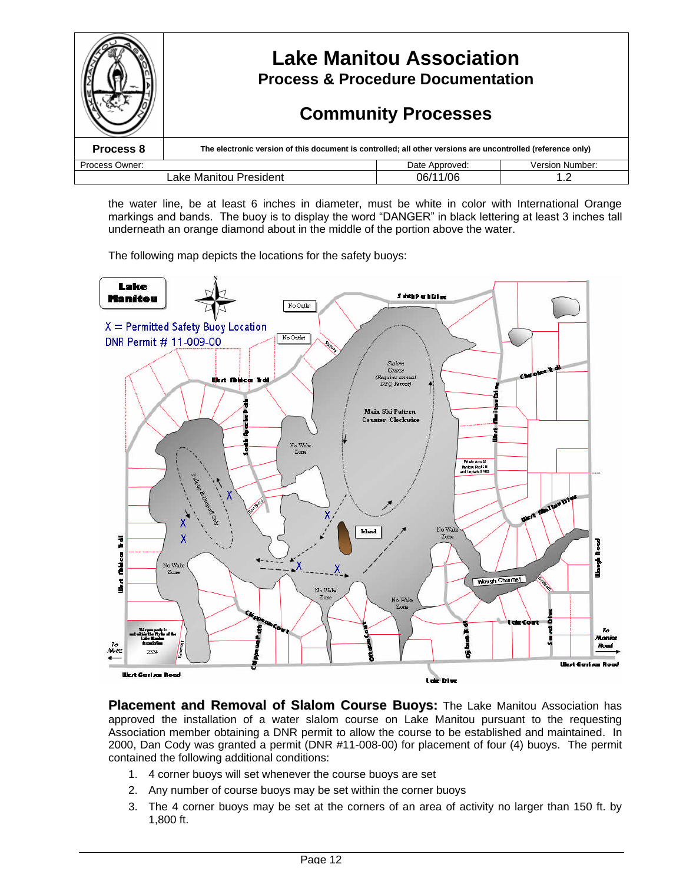

the water line, be at least 6 inches in diameter, must be white in color with International Orange markings and bands. The buoy is to display the word "DANGER" in black lettering at least 3 inches tall underneath an orange diamond about in the middle of the portion above the water.

The following map depicts the locations for the safety buoys:



**Placement and Removal of Slalom Course Buoys:** The Lake Manitou Association has approved the installation of a water slalom course on Lake Manitou pursuant to the requesting Association member obtaining a DNR permit to allow the course to be established and maintained. In 2000, Dan Cody was granted a permit (DNR #11-008-00) for placement of four (4) buoys. The permit contained the following additional conditions:

- 1. 4 corner buoys will set whenever the course buoys are set
- 2. Any number of course buoys may be set within the corner buoys
- 3. The 4 corner buoys may be set at the corners of an area of activity no larger than 150 ft. by 1,800 ft.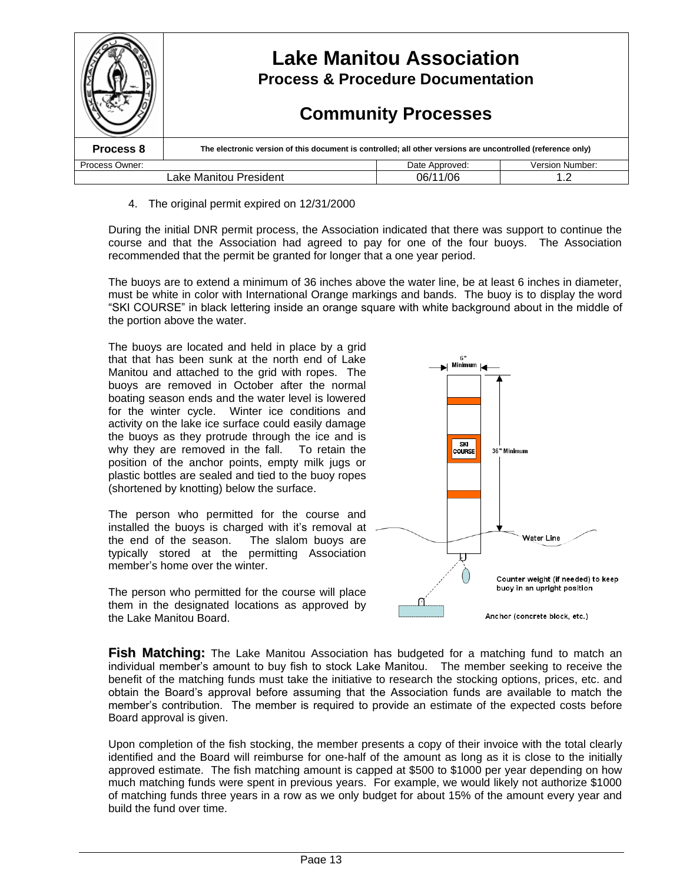|                                           | <b>Lake Manitou Association</b><br><b>Process &amp; Procedure Documentation</b><br><b>Community Processes</b> |                |                 |
|-------------------------------------------|---------------------------------------------------------------------------------------------------------------|----------------|-----------------|
| Process 8                                 | The electronic version of this document is controlled; all other versions are uncontrolled (reference only)   |                |                 |
| Process Owner:                            |                                                                                                               | Date Approved: | Version Number: |
| 06/11/06<br>Lake Manitou President<br>1.2 |                                                                                                               |                |                 |

4. The original permit expired on 12/31/2000

During the initial DNR permit process, the Association indicated that there was support to continue the course and that the Association had agreed to pay for one of the four buoys. The Association recommended that the permit be granted for longer that a one year period.

The buoys are to extend a minimum of 36 inches above the water line, be at least 6 inches in diameter, must be white in color with International Orange markings and bands. The buoy is to display the word "SKI COURSE" in black lettering inside an orange square with white background about in the middle of the portion above the water.

The buoys are located and held in place by a grid that that has been sunk at the north end of Lake Manitou and attached to the grid with ropes. The buoys are removed in October after the normal boating season ends and the water level is lowered for the winter cycle. Winter ice conditions and activity on the lake ice surface could easily damage the buoys as they protrude through the ice and is why they are removed in the fall. To retain the position of the anchor points, empty milk jugs or plastic bottles are sealed and tied to the buoy ropes (shortened by knotting) below the surface.

The person who permitted for the course and installed the buoys is charged with it's removal at the end of the season. The slalom buoys are typically stored at the permitting Association member's home over the winter.





**Fish Matching:** The Lake Manitou Association has budgeted for a matching fund to match an individual member's amount to buy fish to stock Lake Manitou. The member seeking to receive the benefit of the matching funds must take the initiative to research the stocking options, prices, etc. and obtain the Board's approval before assuming that the Association funds are available to match the member's contribution. The member is required to provide an estimate of the expected costs before Board approval is given.

Upon completion of the fish stocking, the member presents a copy of their invoice with the total clearly identified and the Board will reimburse for one-half of the amount as long as it is close to the initially approved estimate. The fish matching amount is capped at \$500 to \$1000 per year depending on how much matching funds were spent in previous years. For example, we would likely not authorize \$1000 of matching funds three years in a row as we only budget for about 15% of the amount every year and build the fund over time.